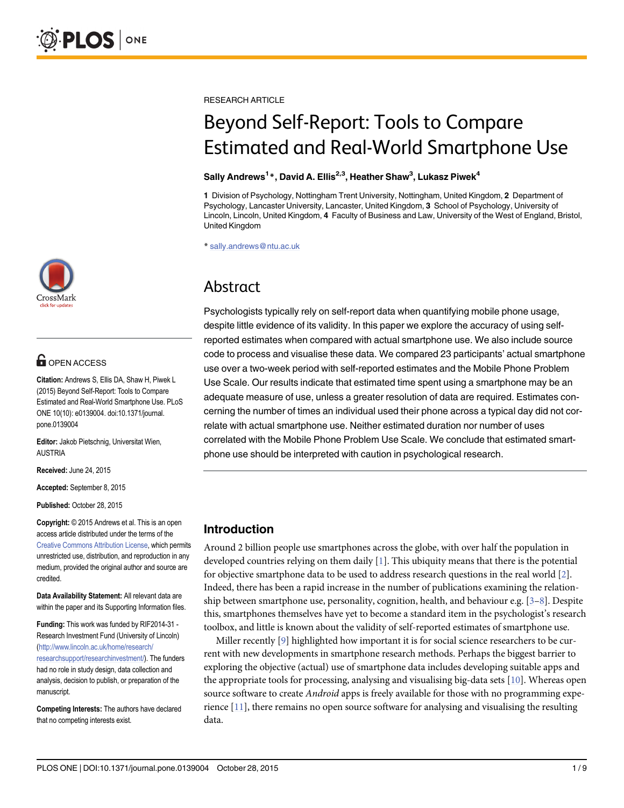

# **OPEN ACCESS**

Citation: Andrews S, Ellis DA, Shaw H, Piwek L (2015) Beyond Self-Report: Tools to Compare Estimated and Real-World Smartphone Use. PLoS ONE 10(10): e0139004. doi:10.1371/journal. pone.0139004

Editor: Jakob Pietschnig, Universitat Wien, AUSTRIA

Received: June 24, 2015

Accepted: September 8, 2015

Published: October 28, 2015

Copyright: © 2015 Andrews et al. This is an open access article distributed under the terms of the [Creative Commons Attribution License,](http://creativecommons.org/licenses/by/4.0/) which permits unrestricted use, distribution, and reproduction in any medium, provided the original author and source are credited.

Data Availability Statement: All relevant data are within the paper and its Supporting Information files.

Funding: This work was funded by RIF2014-31 - Research Investment Fund (University of Lincoln) [\(http://www.lincoln.ac.uk/home/research/](http://www.lincoln.ac.uk/home/research/researchsupport/researchinvestment/) [researchsupport/researchinvestment/](http://www.lincoln.ac.uk/home/research/researchsupport/researchinvestment/)). The funders had no role in study design, data collection and analysis, decision to publish, or preparation of the manuscript.

Competing Interests: The authors have declared that no competing interests exist.

<span id="page-0-0"></span>RESEARCH ARTICLE

# Beyond Self-Report: Tools to Compare Estimated and Real-World Smartphone Use

#### Sally Andrews<sup>1</sup>\*, David A. Ellis<sup>2,3</sup>, Heather Shaw<sup>3</sup>, Lukasz Piwek<sup>4</sup>

1 Division of Psychology, Nottingham Trent University, Nottingham, United Kingdom, 2 Department of Psychology, Lancaster University, Lancaster, United Kingdom, 3 School of Psychology, University of Lincoln, Lincoln, United Kingdom, 4 Faculty of Business and Law, University of the West of England, Bristol, United Kingdom

\* sally.andrews@ntu.ac.uk

# Abstract

Psychologists typically rely on self-report data when quantifying mobile phone usage, despite little evidence of its validity. In this paper we explore the accuracy of using selfreported estimates when compared with actual smartphone use. We also include source code to process and visualise these data. We compared 23 participants' actual smartphone use over a two-week period with self-reported estimates and the Mobile Phone Problem Use Scale. Our results indicate that estimated time spent using a smartphone may be an adequate measure of use, unless a greater resolution of data are required. Estimates concerning the number of times an individual used their phone across a typical day did not correlate with actual smartphone use. Neither estimated duration nor number of uses correlated with the Mobile Phone Problem Use Scale. We conclude that estimated smartphone use should be interpreted with caution in psychological research.

# Introduction

Around 2 billion people use smartphones across the globe, with over half the population in developed countries relying on them daily  $[1]$  $[1]$  $[1]$ . This ubiquity means that there is the potential for objective smartphone data to be used to address research questions in the real world [\[2\]](#page-7-0). Indeed, there has been a rapid increase in the number of publications examining the relationship between smartphone use, personality, cognition, health, and behaviour e.g.  $[3-8]$  $[3-8]$  $[3-8]$  $[3-8]$  $[3-8]$ . Despite this, smartphones themselves have yet to become a standard item in the psychologist's research toolbox, and little is known about the validity of self-reported estimates of smartphone use.

Miller recently  $[9]$  $[9]$  highlighted how important it is for social science researchers to be current with new developments in smartphone research methods. Perhaps the biggest barrier to exploring the objective (actual) use of smartphone data includes developing suitable apps and the appropriate tools for processing, analysing and visualising big-data sets  $[10]$ . Whereas open source software to create *Android* apps is freely available for those with no programming experience  $[11]$  $[11]$  $[11]$ , there remains no open source software for analysing and visualising the resulting data.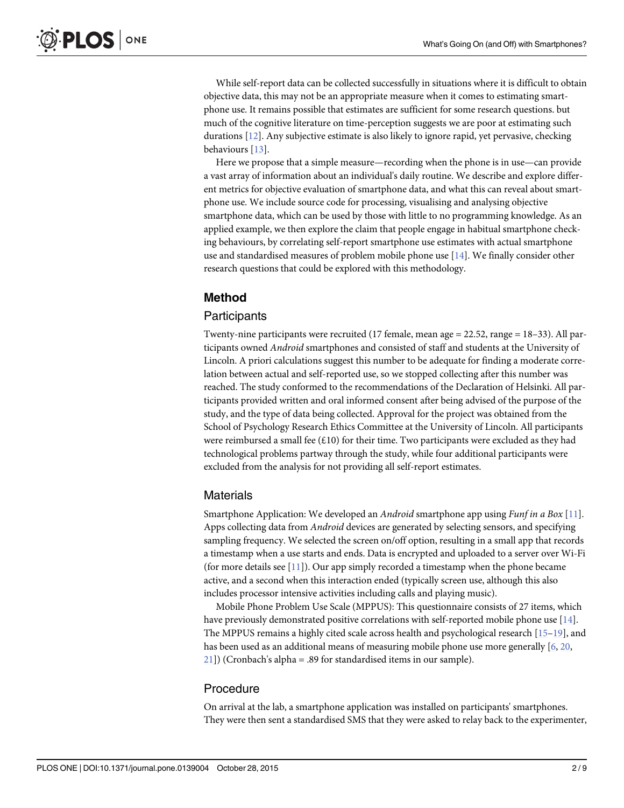<span id="page-1-0"></span>While self-report data can be collected successfully in situations where it is difficult to obtain objective data, this may not be an appropriate measure when it comes to estimating smartphone use. It remains possible that estimates are sufficient for some research questions. but much of the cognitive literature on time-perception suggests we are poor at estimating such durations [[12](#page-7-0)]. Any subjective estimate is also likely to ignore rapid, yet pervasive, checking behaviours [\[13\]](#page-7-0).

Here we propose that a simple measure—recording when the phone is in use—can provide a vast array of information about an individual's daily routine. We describe and explore different metrics for objective evaluation of smartphone data, and what this can reveal about smartphone use. We include source code for processing, visualising and analysing objective smartphone data, which can be used by those with little to no programming knowledge. As an applied example, we then explore the claim that people engage in habitual smartphone checking behaviours, by correlating self-report smartphone use estimates with actual smartphone use and standardised measures of problem mobile phone use [\[14\]](#page-7-0). We finally consider other research questions that could be explored with this methodology.

# Method

## **Participants**

Twenty-nine participants were recruited (17 female, mean age  $= 22.52$ , range  $= 18-33$ ). All participants owned Android smartphones and consisted of staff and students at the University of Lincoln. A priori calculations suggest this number to be adequate for finding a moderate correlation between actual and self-reported use, so we stopped collecting after this number was reached. The study conformed to the recommendations of the Declaration of Helsinki. All participants provided written and oral informed consent after being advised of the purpose of the study, and the type of data being collected. Approval for the project was obtained from the School of Psychology Research Ethics Committee at the University of Lincoln. All participants were reimbursed a small fee  $(E10)$  for their time. Two participants were excluded as they had technological problems partway through the study, while four additional participants were excluded from the analysis for not providing all self-report estimates.

## Materials

Smartphone Application: We developed an Android smartphone app using Funf in a Box [[11\]](#page-7-0). Apps collecting data from Android devices are generated by selecting sensors, and specifying sampling frequency. We selected the screen on/off option, resulting in a small app that records a timestamp when a use starts and ends. Data is encrypted and uploaded to a server over Wi-Fi (for more details see  $[11]$  $[11]$  $[11]$ ). Our app simply recorded a timestamp when the phone became active, and a second when this interaction ended (typically screen use, although this also includes processor intensive activities including calls and playing music).

Mobile Phone Problem Use Scale (MPPUS): This questionnaire consists of 27 items, which have previously demonstrated positive correlations with self-reported mobile phone use [\[14\]](#page-7-0). The MPPUS remains a highly cited scale across health and psychological research [\[15](#page-7-0)–[19](#page-7-0)], and has been used as an additional means of measuring mobile phone use more generally [[6,](#page-7-0) [20,](#page-7-0)  $21$ ]) (Cronbach's alpha = .89 for standardised items in our sample).

#### Procedure

On arrival at the lab, a smartphone application was installed on participants' smartphones. They were then sent a standardised SMS that they were asked to relay back to the experimenter,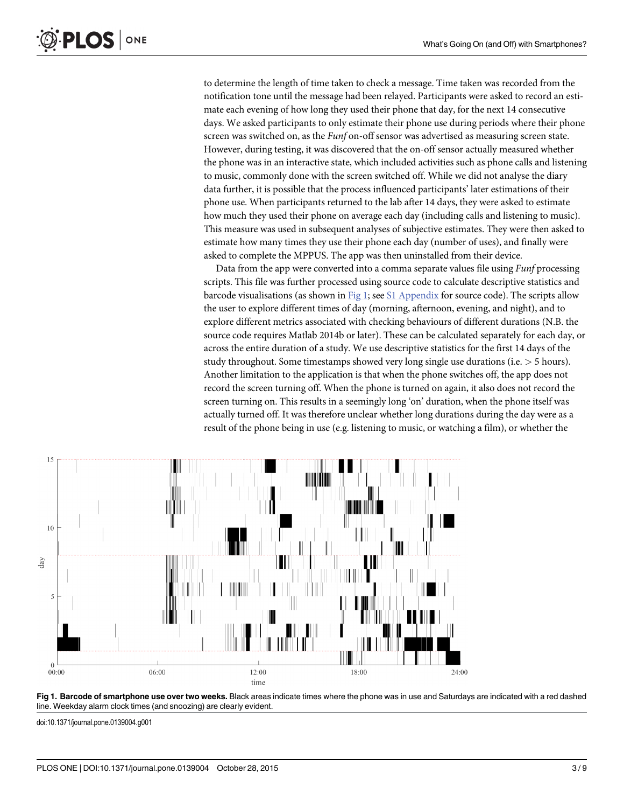to determine the length of time taken to check a message. Time taken was recorded from the notification tone until the message had been relayed. Participants were asked to record an estimate each evening of how long they used their phone that day, for the next 14 consecutive days. We asked participants to only estimate their phone use during periods where their phone screen was switched on, as the *Funf* on-off sensor was advertised as measuring screen state. However, during testing, it was discovered that the on-off sensor actually measured whether the phone was in an interactive state, which included activities such as phone calls and listening to music, commonly done with the screen switched off. While we did not analyse the diary data further, it is possible that the process influenced participants' later estimations of their phone use. When participants returned to the lab after 14 days, they were asked to estimate how much they used their phone on average each day (including calls and listening to music). This measure was used in subsequent analyses of subjective estimates. They were then asked to estimate how many times they use their phone each day (number of uses), and finally were asked to complete the MPPUS. The app was then uninstalled from their device.

Data from the app were converted into a comma separate values file using *Funf* processing scripts. This file was further processed using source code to calculate descriptive statistics and barcode visualisations (as shown in Fig 1; see  $S1$  Appendix for source code). The scripts allow the user to explore different times of day (morning, afternoon, evening, and night), and to explore different metrics associated with checking behaviours of different durations (N.B. the source code requires Matlab 2014b or later). These can be calculated separately for each day, or across the entire duration of a study. We use descriptive statistics for the first 14 days of the study throughout. Some timestamps showed very long single use durations (i.e. > 5 hours). Another limitation to the application is that when the phone switches off, the app does not record the screen turning off. When the phone is turned on again, it also does not record the screen turning on. This results in a seemingly long 'on' duration, when the phone itself was actually turned off. It was therefore unclear whether long durations during the day were as a result of the phone being in use (e.g. listening to music, or watching a film), or whether the





doi:10.1371/journal.pone.0139004.g001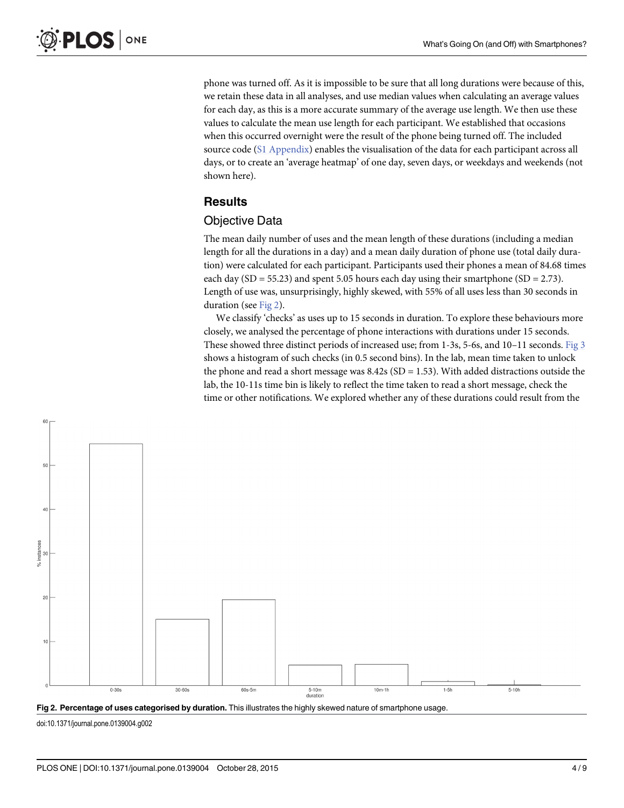<span id="page-3-0"></span>ONE **PLOS** I

> phone was turned off. As it is impossible to be sure that all long durations were because of this, we retain these data in all analyses, and use median values when calculating an average values for each day, as this is a more accurate summary of the average use length. We then use these values to calculate the mean use length for each participant. We established that occasions when this occurred overnight were the result of the phone being turned off. The included source code [\(S1 Appendix](#page-6-0)) enables the visualisation of the data for each participant across all days, or to create an 'average heatmap' of one day, seven days, or weekdays and weekends (not shown here).

# **Results**

#### Objective Data

The mean daily number of uses and the mean length of these durations (including a median length for all the durations in a day) and a mean daily duration of phone use (total daily duration) were calculated for each participant. Participants used their phones a mean of 84.68 times each day (SD = 55.23) and spent 5.05 hours each day using their smartphone (SD = 2.73). Length of use was, unsurprisingly, highly skewed, with 55% of all uses less than 30 seconds in duration (see Fig 2).

We classify 'checks' as uses up to 15 seconds in duration. To explore these behaviours more closely, we analysed the percentage of phone interactions with durations under 15 seconds. These showed three distinct periods of increased use; from 1-3s, 5-6s, and 10–11 seconds. [Fig 3](#page-4-0) shows a histogram of such checks (in 0.5 second bins). In the lab, mean time taken to unlock the phone and read a short message was  $8.42s$  (SD = 1.53). With added distractions outside the lab, the 10-11s time bin is likely to reflect the time taken to read a short message, check the time or other notifications. We explored whether any of these durations could result from the





doi:10.1371/journal.pone.0139004.g002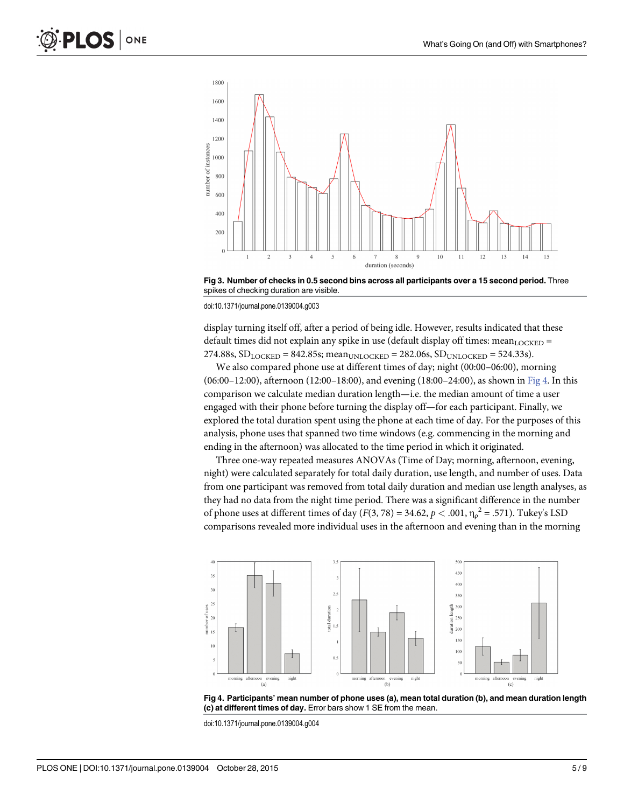<span id="page-4-0"></span>

[Fig 3. N](#page-3-0)umber of checks in 0.5 second bins across all participants over a 15 second period. Three spikes of checking duration are visible.

doi:10.1371/journal.pone.0139004.g003

display turning itself off, after a period of being idle. However, results indicated that these default times did not explain any spike in use (default display off times: mean $_{\text{LOCKED}}$  = 274.88s,  $SD_{LOCKED} = 842.85$ s; mean<sub>UNLOCKED</sub> = 282.06s,  $SD_{UNLOCKED} = 524.33$ s).

We also compared phone use at different times of day; night (00:00–06:00), morning (06:00–12:00), afternoon (12:00–18:00), and evening (18:00–24:00), as shown in Fig 4. In this comparison we calculate median duration length—i.e. the median amount of time a user engaged with their phone before turning the display off—for each participant. Finally, we explored the total duration spent using the phone at each time of day. For the purposes of this analysis, phone uses that spanned two time windows (e.g. commencing in the morning and ending in the afternoon) was allocated to the time period in which it originated.

Three one-way repeated measures ANOVAs (Time of Day; morning, afternoon, evening, night) were calculated separately for total daily duration, use length, and number of uses. Data from one participant was removed from total daily duration and median use length analyses, as they had no data from the night time period. There was a significant difference in the number of phone uses at different times of day ( $F(3,78) = 34.62, p < .001, \eta_\rho^2 = .571$ ). Tukey's LSD comparisons revealed more individual uses in the afternoon and evening than in the morning



Fig 4. Participants' mean number of phone uses (a), mean total duration (b), and mean duration length (c) at different times of day. Error bars show 1 SE from the mean.

doi:10.1371/journal.pone.0139004.g004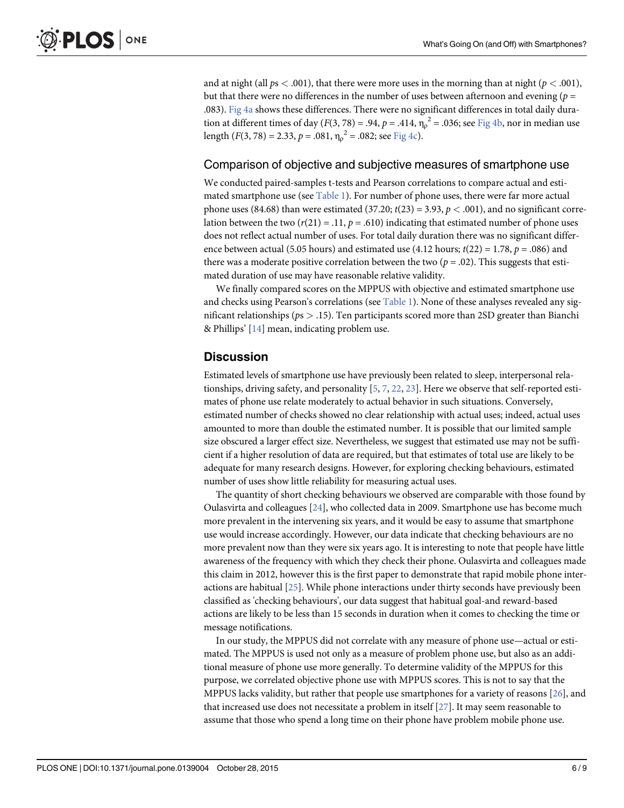<span id="page-5-0"></span>and at night (all  $ps < .001$ ), that there were more uses in the morning than at night ( $p < .001$ ), but that there were no differences in the number of uses between afternoon and evening ( $p =$ .083). [Fig 4a](#page-4-0) shows these differences. There were no significant differences in total daily duration at different times of day ( $F(3, 78) = .94$ ,  $p = .414$ ,  $\eta_{\rho}^2 = .036$ ; see  $\underline{\text{Fig 4b}}$  $\underline{\text{Fig 4b}}$  $\underline{\text{Fig 4b}}$ , nor in median use length ( $F(3, 78) = 2.33$ ,  $p = .081$ ,  $\eta_{\rho}^{2} = .082$ ; see  $\underline{Fig 4c}$ ).

#### Comparison of objective and subjective measures of smartphone use

We conducted paired-samples t-tests and Pearson correlations to compare actual and esti-mated smartphone use (see [Table 1](#page-6-0)). For number of phone uses, there were far more actual phone uses (84.68) than were estimated (37.20;  $t(23) = 3.93$ ,  $p < .001$ ), and no significant correlation between the two  $(r(21) = .11, p = .610)$  indicating that estimated number of phone uses does not reflect actual number of uses. For total daily duration there was no significant difference between actual (5.05 hours) and estimated use (4.12 hours;  $t(22) = 1.78$ ,  $p = .086$ ) and there was a moderate positive correlation between the two ( $p = .02$ ). This suggests that estimated duration of use may have reasonable relative validity.

We finally compared scores on the MPPUS with objective and estimated smartphone use and checks using Pearson's correlations (see [Table 1](#page-6-0)). None of these analyses revealed any significant relationships ( $ps > .15$ ). Ten participants scored more than 2SD greater than Bianchi & Phillips' [\[14\]](#page-7-0) mean, indicating problem use.

## **Discussion**

Estimated levels of smartphone use have previously been related to sleep, interpersonal relationships, driving safety, and personality  $[5, 7, 22, 23]$  $[5, 7, 22, 23]$  $[5, 7, 22, 23]$  $[5, 7, 22, 23]$  $[5, 7, 22, 23]$  $[5, 7, 22, 23]$  $[5, 7, 22, 23]$  $[5, 7, 22, 23]$ . Here we observe that self-reported estimates of phone use relate moderately to actual behavior in such situations. Conversely, estimated number of checks showed no clear relationship with actual uses; indeed, actual uses amounted to more than double the estimated number. It is possible that our limited sample size obscured a larger effect size. Nevertheless, we suggest that estimated use may not be sufficient if a higher resolution of data are required, but that estimates of total use are likely to be adequate for many research designs. However, for exploring checking behaviours, estimated number of uses show little reliability for measuring actual uses.

The quantity of short checking behaviours we observed are comparable with those found by Oulasvirta and colleagues [[24](#page-7-0)], who collected data in 2009. Smartphone use has become much more prevalent in the intervening six years, and it would be easy to assume that smartphone use would increase accordingly. However, our data indicate that checking behaviours are no more prevalent now than they were six years ago. It is interesting to note that people have little awareness of the frequency with which they check their phone. Oulasvirta and colleagues made this claim in 2012, however this is the first paper to demonstrate that rapid mobile phone interactions are habitual [[25\]](#page-7-0). While phone interactions under thirty seconds have previously been classified as 'checking behaviours', our data suggest that habitual goal-and reward-based actions are likely to be less than 15 seconds in duration when it comes to checking the time or message notifications.

In our study, the MPPUS did not correlate with any measure of phone use—actual or estimated. The MPPUS is used not only as a measure of problem phone use, but also as an additional measure of phone use more generally. To determine validity of the MPPUS for this purpose, we correlated objective phone use with MPPUS scores. This is not to say that the MPPUS lacks validity, but rather that people use smartphones for a variety of reasons [[26](#page-7-0)], and that increased use does not necessitate a problem in itself  $[27]$  $[27]$  $[27]$ . It may seem reasonable to assume that those who spend a long time on their phone have problem mobile phone use.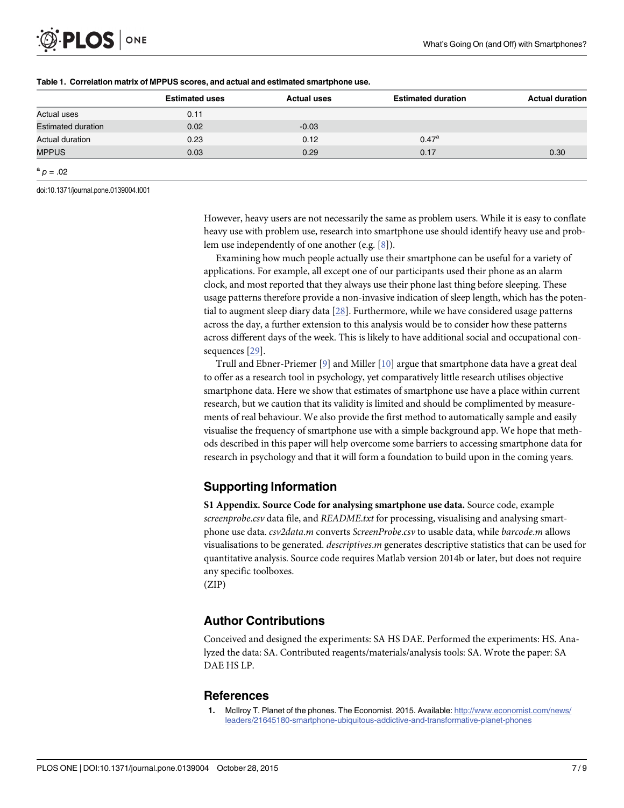<span id="page-6-0"></span>

|                           | <b>Estimated uses</b> | <b>Actual uses</b> | <b>Estimated duration</b> | <b>Actual duration</b> |
|---------------------------|-----------------------|--------------------|---------------------------|------------------------|
| Actual uses               | 0.11                  |                    |                           |                        |
| <b>Estimated duration</b> | 0.02                  | $-0.03$            |                           |                        |
| Actual duration           | 0.23                  | 0.12               | $0.47^{\rm a}$            |                        |
| <b>MPPUS</b>              | 0.03                  | 0.29               | 0.17                      | 0.30                   |
| ${}^{a}p=.02$             |                       |                    |                           |                        |

#### [Table 1.](#page-5-0) Correlation matrix of MPPUS scores, and actual and estimated smartphone use.

doi:10.1371/journal.pone.0139004.t001

However, heavy users are not necessarily the same as problem users. While it is easy to conflate heavy use with problem use, research into smartphone use should identify heavy use and problem use independently of one another (e.g. [[8\]](#page-7-0)).

Examining how much people actually use their smartphone can be useful for a variety of applications. For example, all except one of our participants used their phone as an alarm clock, and most reported that they always use their phone last thing before sleeping. These usage patterns therefore provide a non-invasive indication of sleep length, which has the potential to augment sleep diary data [\[28\]](#page-8-0). Furthermore, while we have considered usage patterns across the day, a further extension to this analysis would be to consider how these patterns across different days of the week. This is likely to have additional social and occupational consequences [\[29\]](#page-8-0).

Trull and Ebner-Priemer  $[9]$  $[9]$  $[9]$  and Miller  $[10]$  argue that smartphone data have a great deal to offer as a research tool in psychology, yet comparatively little research utilises objective smartphone data. Here we show that estimates of smartphone use have a place within current research, but we caution that its validity is limited and should be complimented by measurements of real behaviour. We also provide the first method to automatically sample and easily visualise the frequency of smartphone use with a simple background app. We hope that methods described in this paper will help overcome some barriers to accessing smartphone data for research in psychology and that it will form a foundation to build upon in the coming years.

# Supporting Information

[S1 Appendix.](http://www.plosone.org/article/fetchSingleRepresentation.action?uri=info:doi/10.1371/journal.pone.0139004.s001) Source Code for analysing smartphone use data. Source code, example screenprobe.csv data file, and README.txt for processing, visualising and analysing smartphone use data. csv2data.m converts ScreenProbe.csv to usable data, while barcode.m allows visualisations to be generated. descriptives.m generates descriptive statistics that can be used for quantitative analysis. Source code requires Matlab version 2014b or later, but does not require any specific toolboxes.

(ZIP)

# Author Contributions

Conceived and designed the experiments: SA HS DAE. Performed the experiments: HS. Analyzed the data: SA. Contributed reagents/materials/analysis tools: SA. Wrote the paper: SA DAE HS LP.

# **References**

[1.](#page-0-0) McIlroy T. Planet of the phones. The Economist. 2015. Available: [http://www.economist.com/news/](http://www.economist.com/news/leaders/21645180-smartphone-ubiquitous-addictive-and-transformative-planet-phones) [leaders/21645180-smartphone-ubiquitous-addictive-and-transformative-planet-phones](http://www.economist.com/news/leaders/21645180-smartphone-ubiquitous-addictive-and-transformative-planet-phones)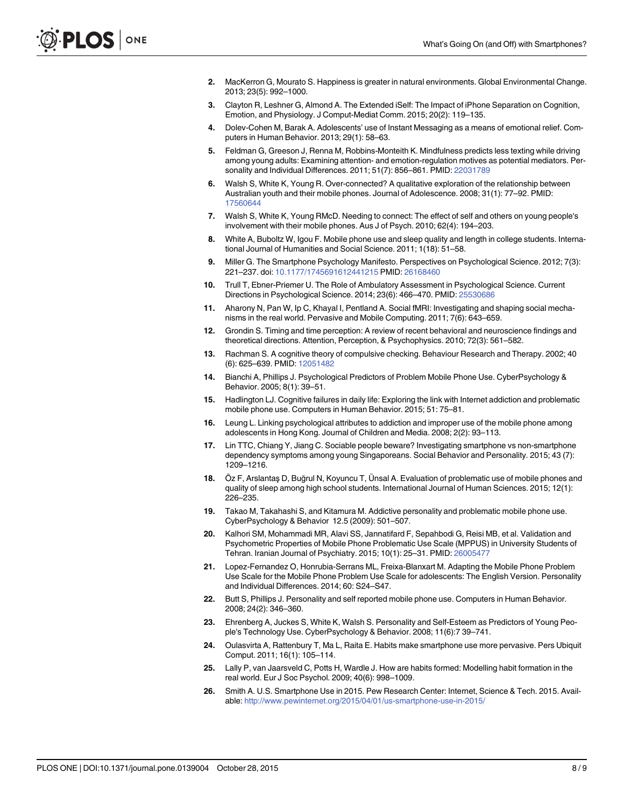- <span id="page-7-0"></span>[2.](#page-0-0) MacKerron G, Mourato S. Happiness is greater in natural environments. Global Environmental Change. 2013; 23(5): 992–1000.
- [3.](#page-0-0) Clayton R, Leshner G, Almond A. The Extended iSelf: The Impact of iPhone Separation on Cognition, Emotion, and Physiology. J Comput-Mediat Comm. 2015; 20(2): 119–135.
- 4. Dolev-Cohen M, Barak A. Adolescents' use of Instant Messaging as a means of emotional relief. Computers in Human Behavior. 2013; 29(1): 58–63.
- [5.](#page-5-0) Feldman G, Greeson J, Renna M, Robbins-Monteith K. Mindfulness predicts less texting while driving among young adults: Examining attention- and emotion-regulation motives as potential mediators. Personality and Individual Differences. 2011; 51(7): 856–861. PMID: [22031789](http://www.ncbi.nlm.nih.gov/pubmed/22031789)
- [6.](#page-1-0) Walsh S, White K, Young R. Over-connected? A qualitative exploration of the relationship between Australian youth and their mobile phones. Journal of Adolescence. 2008; 31(1): 77–92. PMID: [17560644](http://www.ncbi.nlm.nih.gov/pubmed/17560644)
- [7.](#page-5-0) Walsh S, White K, Young RMcD. Needing to connect: The effect of self and others on young people's involvement with their mobile phones. Aus J of Psych. 2010; 62(4): 194–203.
- [8.](#page-0-0) White A, Buboltz W, Igou F. Mobile phone use and sleep quality and length in college students. International Journal of Humanities and Social Science. 2011; 1(18): 51–58.
- [9.](#page-0-0) Miller G. The Smartphone Psychology Manifesto. Perspectives on Psychological Science. 2012; 7(3): 221–237. doi: [10.1177/1745691612441215](http://dx.doi.org/10.1177/1745691612441215) PMID: [26168460](http://www.ncbi.nlm.nih.gov/pubmed/26168460)
- [10.](#page-0-0) Trull T, Ebner-Priemer U. The Role of Ambulatory Assessment in Psychological Science. Current Directions in Psychological Science. 2014; 23(6): 466–470. PMID: [25530686](http://www.ncbi.nlm.nih.gov/pubmed/25530686)
- [11.](#page-0-0) Aharony N, Pan W, Ip C, Khayal I, Pentland A. Social fMRI: Investigating and shaping social mechanisms in the real world. Pervasive and Mobile Computing. 2011; 7(6): 643–659.
- [12.](#page-1-0) Grondin S. Timing and time perception: A review of recent behavioral and neuroscience findings and theoretical directions. Attention, Perception, & Psychophysics. 2010; 72(3): 561–582.
- [13.](#page-1-0) Rachman S. A cognitive theory of compulsive checking. Behaviour Research and Therapy. 2002; 40 (6): 625–639. PMID: [12051482](http://www.ncbi.nlm.nih.gov/pubmed/12051482)
- [14.](#page-1-0) Bianchi A, Phillips J. Psychological Predictors of Problem Mobile Phone Use. CyberPsychology & Behavior. 2005; 8(1): 39–51.
- [15.](#page-1-0) Hadlington LJ. Cognitive failures in daily life: Exploring the link with Internet addiction and problematic mobile phone use. Computers in Human Behavior. 2015; 51: 75–81.
- 16. Leung L. Linking psychological attributes to addiction and improper use of the mobile phone among adolescents in Hong Kong. Journal of Children and Media. 2008; 2(2): 93–113.
- 17. Lin TTC, Chiang Y, Jiang C. Sociable people beware? Investigating smartphone vs non-smartphone dependency symptoms among young Singaporeans. Social Behavior and Personality. 2015; 43 (7): 1209–1216.
- 18. Öz F, Arslantaş D, Buğrul N, Koyuncu T, Ünsal A. Evaluation of problematic use of mobile phones and quality of sleep among high school students. International Journal of Human Sciences. 2015; 12(1): 226–235.
- [19.](#page-1-0) Takao M, Takahashi S, and Kitamura M. Addictive personality and problematic mobile phone use. CyberPsychology & Behavior 12.5 (2009): 501–507.
- [20.](#page-1-0) Kalhori SM, Mohammadi MR, Alavi SS, Jannatifard F, Sepahbodi G, Reisi MB, et al. Validation and Psychometric Properties of Mobile Phone Problematic Use Scale (MPPUS) in University Students of Tehran. Iranian Journal of Psychiatry. 2015; 10(1): 25–31. PMID: [26005477](http://www.ncbi.nlm.nih.gov/pubmed/26005477)
- [21.](#page-1-0) Lopez-Fernandez O, Honrubia-Serrans ML, Freixa-Blanxart M. Adapting the Mobile Phone Problem Use Scale for the Mobile Phone Problem Use Scale for adolescents: The English Version. Personality and Individual Differences. 2014; 60: S24–S47.
- [22.](#page-5-0) Butt S, Phillips J. Personality and self reported mobile phone use. Computers in Human Behavior. 2008; 24(2): 346–360.
- [23.](#page-5-0) Ehrenberg A, Juckes S, White K, Walsh S. Personality and Self-Esteem as Predictors of Young People's Technology Use. CyberPsychology & Behavior. 2008; 11(6):7 39–741.
- [24.](#page-5-0) Oulasvirta A, Rattenbury T, Ma L, Raita E. Habits make smartphone use more pervasive. Pers Ubiquit Comput. 2011; 16(1): 105–114.
- [25.](#page-5-0) Lally P, van Jaarsveld C, Potts H, Wardle J. How are habits formed: Modelling habit formation in the real world. Eur J Soc Psychol. 2009; 40(6): 998–1009.
- [26.](#page-5-0) Smith A. U.S. Smartphone Use in 2015. Pew Research Center: Internet, Science & Tech. 2015. Available: <http://www.pewinternet.org/2015/04/01/us-smartphone-use-in-2015/>